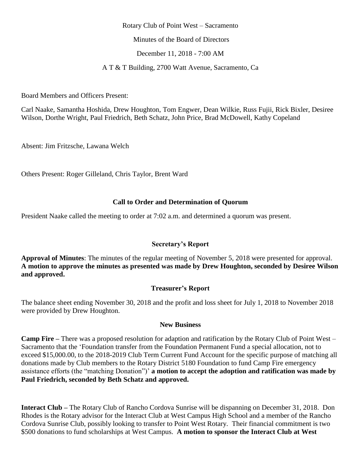#### Rotary Club of Point West – Sacramento

Minutes of the Board of Directors

December 11, 2018 - 7:00 AM

A T & T Building, 2700 Watt Avenue, Sacramento, Ca

Board Members and Officers Present:

Carl Naake, Samantha Hoshida, Drew Houghton, Tom Engwer, Dean Wilkie, Russ Fujii, Rick Bixler, Desiree Wilson, Dorthe Wright, Paul Friedrich, Beth Schatz, John Price, Brad McDowell, Kathy Copeland

Absent: Jim Fritzsche, Lawana Welch

Others Present: Roger Gilleland, Chris Taylor, Brent Ward

## **Call to Order and Determination of Quorum**

President Naake called the meeting to order at 7:02 a.m. and determined a quorum was present.

## **Secretary's Report**

**Approval of Minutes**: The minutes of the regular meeting of November 5, 2018 were presented for approval. **A motion to approve the minutes as presented was made by Drew Houghton, seconded by Desiree Wilson and approved.**

# **Treasurer's Report**

The balance sheet ending November 30, 2018 and the profit and loss sheet for July 1, 2018 to November 2018 were provided by Drew Houghton.

## **New Business**

**Camp Fire –** There was a proposed resolution for adaption and ratification by the Rotary Club of Point West – Sacramento that the 'Foundation transfer from the Foundation Permanent Fund a special allocation, not to exceed \$15,000.00, to the 2018-2019 Club Term Current Fund Account for the specific purpose of matching all donations made by Club members to the Rotary District 5180 Foundation to fund Camp Fire emergency assistance efforts (the "matching Donation")' **a motion to accept the adoption and ratification was made by Paul Friedrich, seconded by Beth Schatz and approved.** 

**Interact Club –** The Rotary Club of Rancho Cordova Sunrise will be dispanning on December 31, 2018. Don Rhodes is the Rotary advisor for the Interact Club at West Campus High School and a member of the Rancho Cordova Sunrise Club, possibly looking to transfer to Point West Rotary. Their financial commitment is two \$500 donations to fund scholarships at West Campus. **A motion to sponsor the Interact Club at West**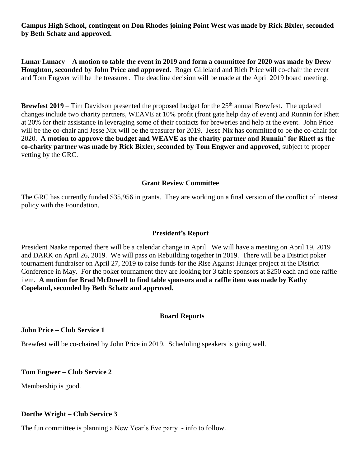**Campus High School, contingent on Don Rhodes joining Point West was made by Rick Bixler, seconded by Beth Schatz and approved.** 

**Lunar Lunacy** – **A motion to table the event in 2019 and form a committee for 2020 was made by Drew Houghton, seconded by John Price and approved.** Roger Gilleland and Rich Price will co-chair the event and Tom Engwer will be the treasurer. The deadline decision will be made at the April 2019 board meeting.

**Brewfest 2019** – Tim Davidson presented the proposed budget for the 25<sup>th</sup> annual Brewfest. The updated changes include two charity partners, WEAVE at 10% profit (front gate help day of event) and Runnin for Rhett at 20% for their assistance in leveraging some of their contacts for breweries and help at the event. John Price will be the co-chair and Jesse Nix will be the treasurer for 2019. Jesse Nix has committed to be the co-chair for 2020. **A motion to approve the budget and WEAVE as the charity partner and Runnin' for Rhett as the co-charity partner was made by Rick Bixler, seconded by Tom Engwer and approved**, subject to proper vetting by the GRC.

## **Grant Review Committee**

The GRC has currently funded \$35,956 in grants. They are working on a final version of the conflict of interest policy with the Foundation.

#### **President's Report**

President Naake reported there will be a calendar change in April. We will have a meeting on April 19, 2019 and DARK on April 26, 2019. We will pass on Rebuilding together in 2019. There will be a District poker tournament fundraiser on April 27, 2019 to raise funds for the Rise Against Hunger project at the District Conference in May. For the poker tournament they are looking for 3 table sponsors at \$250 each and one raffle item. **A motion for Brad McDowell to find table sponsors and a raffle item was made by Kathy Copeland, seconded by Beth Schatz and approved.**

#### **Board Reports**

#### **John Price – Club Service 1**

Brewfest will be co-chaired by John Price in 2019. Scheduling speakers is going well.

#### **Tom Engwer – Club Service 2**

Membership is good.

#### **Dorthe Wright – Club Service 3**

The fun committee is planning a New Year's Eve party - info to follow.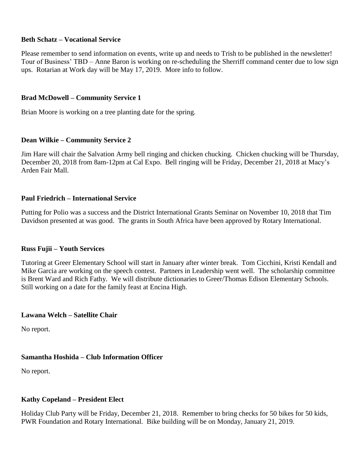## **Beth Schatz – Vocational Service**

Please remember to send information on events, write up and needs to Trish to be published in the newsletter! Tour of Business' TBD – Anne Baron is working on re-scheduling the Sherriff command center due to low sign ups. Rotarian at Work day will be May 17, 2019. More info to follow.

## **Brad McDowell – Community Service 1**

Brian Moore is working on a tree planting date for the spring.

## **Dean Wilkie – Community Service 2**

Jim Hare will chair the Salvation Army bell ringing and chicken chucking. Chicken chucking will be Thursday, December 20, 2018 from 8am-12pm at Cal Expo. Bell ringing will be Friday, December 21, 2018 at Macy's Arden Fair Mall.

## **Paul Friedrich – International Service**

Putting for Polio was a success and the District International Grants Seminar on November 10, 2018 that Tim Davidson presented at was good. The grants in South Africa have been approved by Rotary International.

## **Russ Fujii – Youth Services**

Tutoring at Greer Elementary School will start in January after winter break. Tom Cicchini, Kristi Kendall and Mike Garcia are working on the speech contest. Partners in Leadership went well. The scholarship committee is Brent Ward and Rich Fathy. We will distribute dictionaries to Greer/Thomas Edison Elementary Schools. Still working on a date for the family feast at Encina High.

## **Lawana Welch – Satellite Chair**

No report.

# **Samantha Hoshida – Club Information Officer**

No report.

## **Kathy Copeland – President Elect**

Holiday Club Party will be Friday, December 21, 2018. Remember to bring checks for 50 bikes for 50 kids, PWR Foundation and Rotary International. Bike building will be on Monday, January 21, 2019.